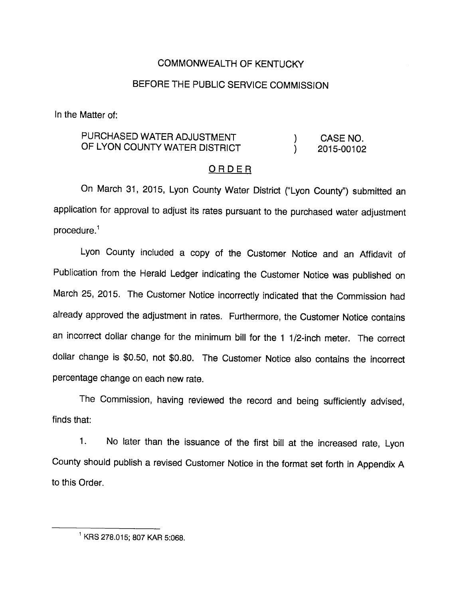## COMMONWEALTH OF KENTUCKY

# BEFORE THE PUBLIC SERVICE COMMISSION

In the Matter of:

# PURCHASED WATER ADJUSTMENT (CASE NO. OF LYON COUNTY WATER DISTRICT  $(2015-00102)$

#### ORDER

On March 31, 2015, Lyon County Water District ("Lyon County") submitted an application for approval to adjust its rates pursuant to the purchased water adjustment  $procedure<sup>1</sup>$ 

Lyon County included a copy of the Customer Notice and an Affidavit of Pubiication from the Herald Ledger indicating the Customer Notice was published on March 25, 2015. The Customer Notice incorrectly indicated that the Commission had already approved the adjustment in rates. Furthermore, the Customer Notice contains an incorrect dollar change for the minimum bill for the 1 1/2-inch meter. The correct dollar change is \$0.50, not \$0.80. The Customer Notice also contains the incorrect percentage change on each new rate.

The Commission, having reviewed the record and being sufficiently advised, finds that:

1. No later than the issuance of the first biii at the increased rate, Lyon County should publish a revised Customer Notice in the format set forth in Appendix A to this Order.

<sup>^</sup>KRS 278.015; 807 KAR 5:068.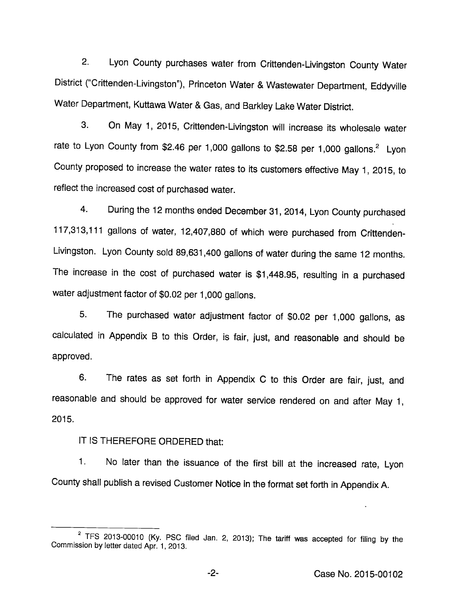2. Lyon County purchases water from Crittenden-Livingston County Water District ("Crittenden-Livingston"), Princeton Water & Wastewater Department, Eddyville Water Department, Kuttawa Water & Gas, and Barkley Lake Water District.

3. On May 1, 2015, Crittenden-Livingston will increase its wholesale water rate to Lyon County from \$2.46 per 1,000 gallons to \$2.58 per 1,000 gallons.<sup>2</sup> Lyon County proposed to increase the water rates to its customers effective May 1, 2015, to reflect the increased cost of purchased water.

4. During the 12 months ended December 31, 2014, Lyon County purchased 117,313,111 gallons of water, 12,407,880 of which were purchased from Crittenden-Livingston. Lyon County sold 89,631,400 gallons of water during the same 12 months. The increase in the cost of purchased water is \$1,448.95, resulting in a purchased water adjustment factor of \$0.02 per 1,000 gallons.

5. The purchased water adjustment factor of \$0.02 per 1,000 gallons, as calculated in Appendix B to this Order, is fair, just, and reasonable and should be approved.

6. The rates as set forth in Appendix C to this Order are fair, just, and reasonable and should be approved for water service rendered on and after May 1, 2015.

## IT IS THEREFORE ORDERED that:

1. No later than the issuance of the first bill at the increased rate, Lyon County shall publish a revised Customer Notice in the format set forth in Appendix A.

 $2$  TFS 2013-00010 (Ky. PSC filed Jan. 2, 2013); The tariff was accepted for filing by the Commission by letter dated Apr. 1, 2013.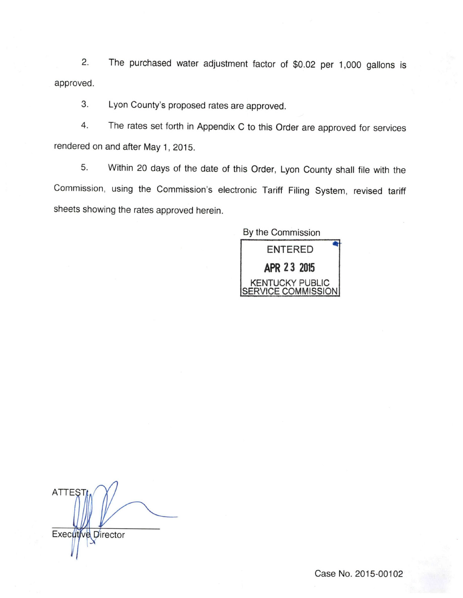2. The purchased water adjustment factor of \$0.02 per 1,000 gallons is approved.

3. Lyon County's proposed rates are approved.

4. The rates set forth in Appendix C to this Order are approved for services rendered on and after May 1, 2015.

5. Within 20 days of the date of this Order, Lyon County shall file with the Commission, using the Commission's electronic Tariff Filing System, revised tariff sheets showing the rates approved herein.

By the Commission **ENTERED** APR 23 2015 KENTUCKY PUBLIC SERVICE COMMISSION

**ATTES** Executive Director

Case No. 2015-00102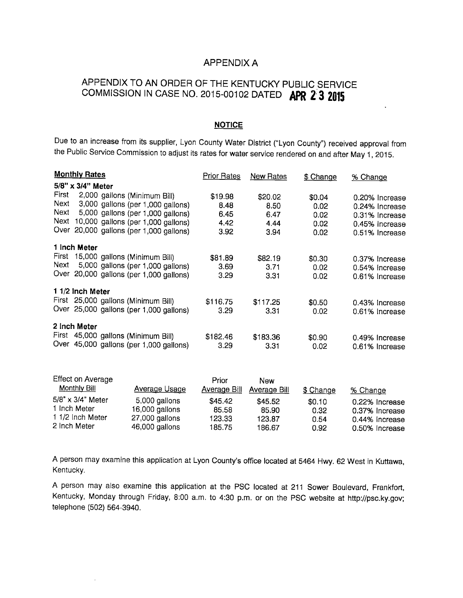#### APPENDIX A

# APPENDIX TO AN ORDER OF THE KENTUCKY PUBLIC SERVICE COMMISSION IN CASE NO. 2015-00102 DATED APR 2 3 2015

#### **NOTICE**

Due to an increase from its supplier, Lyon County Water District ("Lyon County") received approval from the Public Service Commission to adjust its rates for water service rendered on and after May 1, 2015.

|              | <b>Monthly Rates</b>                    | Prior Rates | <b>New Rates</b> | \$ Change | % Change       |  |
|--------------|-----------------------------------------|-------------|------------------|-----------|----------------|--|
|              | 5/8" x 3/4" Meter                       |             |                  |           |                |  |
| First        | 2,000 gallons (Minimum Bill)            | \$19.98     | \$20.02          | \$0.04    | 0.20% Increase |  |
| Next         | 3,000 gallons (per 1,000 gallons)       | 8.48        | 8.50             | 0.02      | 0.24% Increase |  |
| Next         | 5,000 gallons (per 1,000 gallons)       | 6.45        | 6.47             | 0.02      | 0.31% Increase |  |
| Next         | 10,000 gallons (per 1,000 gallons)      | 4.42        | 4.44             | 0.02      | 0.45% Increase |  |
|              | Over 20,000 gallons (per 1,000 gallons) | 3.92        | 3.94             | 0.02      | 0.51% Increase |  |
|              | 1 Inch Meter                            |             |                  |           |                |  |
| First        | 15,000 gallons (Minimum Bill)           | \$81.89     | \$82.19          | \$0.30    | 0.37% Increase |  |
| Next         | 5,000 gallons (per 1,000 gallons)       | 3.69        | 3.71             | 0.02      | 0.54% Increase |  |
|              | Over 20,000 gallons (per 1,000 gallons) | 3.29        | 3.31             | 0.02      | 0.61% Increase |  |
|              | 1 1/2 Inch Meter                        |             |                  |           |                |  |
|              | First 25,000 gallons (Minimum Bill)     | \$116.75    | \$117.25         | \$0.50    | 0.43% Increase |  |
|              | Over 25,000 gallons (per 1,000 gallons) | 3.29        | 3.31             | 0.02      | 0.61% Increase |  |
| 2 Inch Meter |                                         |             |                  |           |                |  |
|              | First 45,000 gallons (Minimum Bill)     | \$182.46    | \$183.36         | \$0.90    | 0.49% Increase |  |
|              | Over 45,000 gallons (per 1,000 gallons) | 3.29        | 3.31             | 0.02      | 0.61% Increase |  |

| Effect on Average<br><b>Monthly Bill</b> | <b>Average Usage</b> | Prior<br>Average Bill | <b>New</b><br>Average Bill | \$ Change | % Change       |
|------------------------------------------|----------------------|-----------------------|----------------------------|-----------|----------------|
| $5/8$ " x $3/4$ " Meter                  | 5,000 gallons        | \$45.42               | \$45.52                    | \$0.10    | 0.22% Increase |
| 1 Inch Meter                             | 16,000 gallons       | 85.58                 | 85.90                      | 0.32      | 0.37% Increase |
| 1 1/2 Inch Meter                         | 27,000 gallons       | 123.33                | 123.87                     | 0.54      | 0.44% Increase |
| 2 Inch Meter                             | 46,000 gallons       | 185.75                | 186.67                     | 0.92      | 0.50% Increase |

A person may examine this application at Lyon County's office located at 5464 Hwy. 62 West in Kuttawa, Kentucky.

A person may also examine this application at the PSC located at 211 Sower Boulevard, Frankfort, Kentucky, Monday through Friday, 8:00 a.m. to 4:30 p.m. or on the PSC website at http://psc.ky.gov; telephone (502) 564-3940.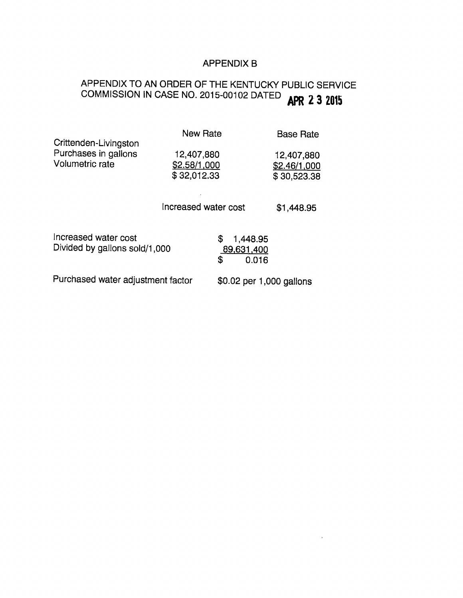# APPENDIX B

# APPENDIX TO AN ORDER OF THE KENTUCKY PUBLIC SERVICE APPENDIX TO AN OTIC LITTLE THE LITTLE APR 2 3 2015

| Crittenden-Livingston                                 | <b>New Rate</b>             |                                             | <b>Base Rate</b>          |
|-------------------------------------------------------|-----------------------------|---------------------------------------------|---------------------------|
| Purchases in gallons                                  | 12,407,880                  |                                             | 12,407,880                |
| Volumetric rate                                       | \$2.58/1,000<br>\$32,012.33 |                                             | \$2.46/1,000              |
|                                                       | Increased water cost        |                                             | \$30,523.38<br>\$1,448.95 |
| Increased water cost<br>Divided by gallons sold/1,000 |                             | \$<br>1,448.95<br>89,631,400<br>\$<br>0.016 |                           |
| Purchased water adjustment factor                     |                             | \$0.02 per 1,000 gallons                    |                           |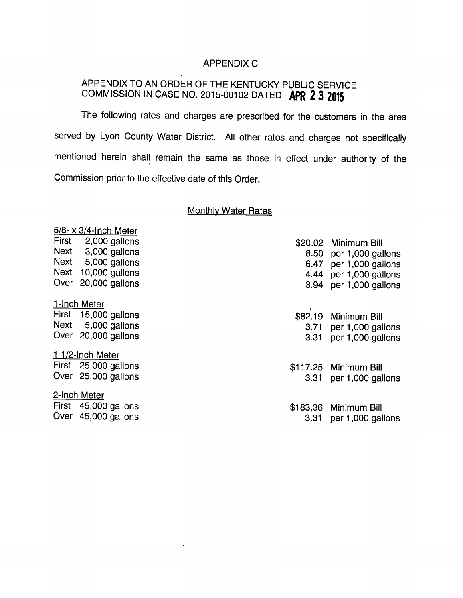### APPENDIX C

 $\mathcal{L}^{\mathcal{L}}$  and  $\mathcal{L}^{\mathcal{L}}$  and  $\mathcal{L}^{\mathcal{L}}$ 

# APPENDIX TO AN ORDER OF THE KENTUCKY PUBLIC SERVICE COMMISSION IN CASE NO. 2015-00102 DATED APR 2 3 2015

The following rates and charges are prescribed for the customers in the area served by Lyon County Water District. All other rates and charges not specifically mentioned herein shall remain the same as those in effect under authority of the Commission prior to the effective date of this Order.

#### Monthlv Water Rates

|      | $5/8$ - x 3/4-Inch Meter |      |                        |
|------|--------------------------|------|------------------------|
|      | First 2,000 gallons      |      | \$20.02 Minimum Bill   |
|      | Next 3,000 gallons       |      | 8.50 per 1,000 gallons |
|      | Next 5,000 gallons       | 6.47 | per 1,000 gallons      |
|      | Next 10,000 gallons      |      | 4.44 per 1,000 gallons |
| Over | 20,000 gallons           |      | 3.94 per 1,000 gallons |
|      | 1-Inch Meter             |      |                        |
|      | First 15,000 gallons     |      | \$82.19 Minimum Bill   |
|      | Next 5,000 gallons       |      | 3.71 per 1,000 gallons |
|      | Over 20,000 gallons      | 3.31 | per 1,000 gallons      |
|      | 1 1/2-Inch Meter         |      |                        |
|      | First 25,000 gallons     |      | \$117.25 Minimum Bill  |
|      | Over 25,000 gallons      | 3.31 | per 1,000 gallons      |
|      | 2-Inch Meter             |      |                        |
|      | First 45,000 gallons     |      | \$183.36 Minimum Bill  |
|      | Over 45,000 gallons      | 3.31 | per 1,000 gallons      |